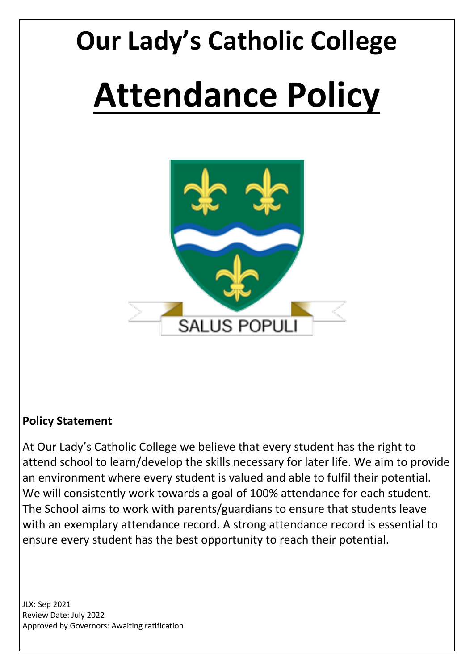# **Our Lady's Catholic College Attendance Policy**

**SALUS POPULI** 

## **Policy Statement**

At Our Lady's Catholic College we believe that every student has the right to attend school to learn/develop the skills necessary for later life. We aim to provide an environment where every student is valued and able to fulfil their potential. We will consistently work towards a goal of 100% attendance for each student. The School aims to work with parents/guardians to ensure that students leave with an exemplary attendance record. A strong attendance record is essential to ensure every student has the best opportunity to reach their potential.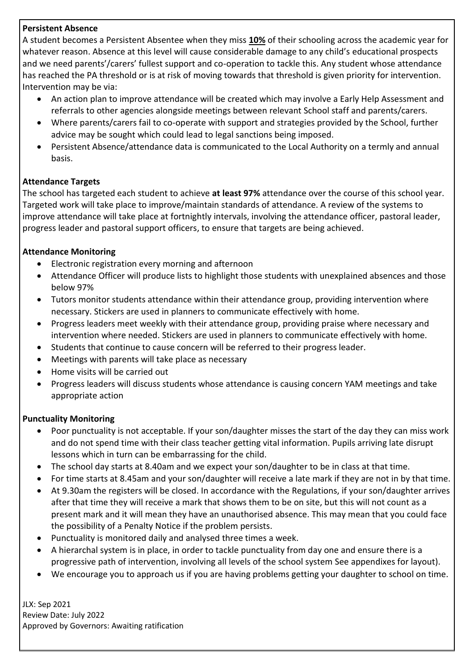#### **Persistent Absence**

A student becomes a Persistent Absentee when they miss **10%** of their schooling across the academic year for whatever reason. Absence at this level will cause considerable damage to any child's educational prospects and we need parents'/carers' fullest support and co-operation to tackle this. Any student whose attendance has reached the PA threshold or is at risk of moving towards that threshold is given priority for intervention. Intervention may be via:

- An action plan to improve attendance will be created which may involve a Early Help Assessment and referrals to other agencies alongside meetings between relevant School staff and parents/carers.
- Where parents/carers fail to co-operate with support and strategies provided by the School, further advice may be sought which could lead to legal sanctions being imposed.
- Persistent Absence/attendance data is communicated to the Local Authority on a termly and annual basis.

#### **Attendance Targets**

The school has targeted each student to achieve **at least 97%** attendance over the course of this school year. Targeted work will take place to improve/maintain standards of attendance. A review of the systems to improve attendance will take place at fortnightly intervals, involving the attendance officer, pastoral leader, progress leader and pastoral support officers, to ensure that targets are being achieved.

#### **Attendance Monitoring**

- Electronic registration every morning and afternoon
- Attendance Officer will produce lists to highlight those students with unexplained absences and those below 97%
- Tutors monitor students attendance within their attendance group, providing intervention where necessary. Stickers are used in planners to communicate effectively with home.
- Progress leaders meet weekly with their attendance group, providing praise where necessary and intervention where needed. Stickers are used in planners to communicate effectively with home.
- Students that continue to cause concern will be referred to their progress leader.
- Meetings with parents will take place as necessary
- Home visits will be carried out
- Progress leaders will discuss students whose attendance is causing concern YAM meetings and take appropriate action

#### **Punctuality Monitoring**

- Poor punctuality is not acceptable. If your son/daughter misses the start of the day they can miss work and do not spend time with their class teacher getting vital information. Pupils arriving late disrupt lessons which in turn can be embarrassing for the child.
- The school day starts at 8.40am and we expect your son/daughter to be in class at that time.
- For time starts at 8.45am and your son/daughter will receive a late mark if they are not in by that time.
- At 9.30am the registers will be closed. In accordance with the Regulations, if your son/daughter arrives after that time they will receive a mark that shows them to be on site, but this will not count as a present mark and it will mean they have an unauthorised absence. This may mean that you could face the possibility of a Penalty Notice if the problem persists.
- Punctuality is monitored daily and analysed three times a week.
- A hierarchal system is in place, in order to tackle punctuality from day one and ensure there is a progressive path of intervention, involving all levels of the school system See appendixes for layout).
- We encourage you to approach us if you are having problems getting your daughter to school on time.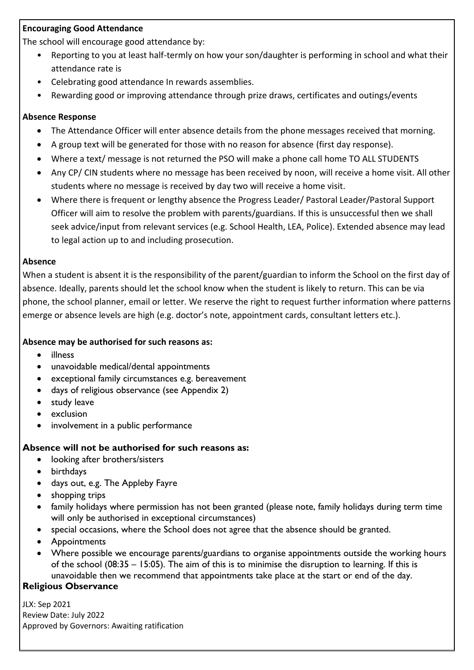#### **Encouraging Good Attendance**

The school will encourage good attendance by:

- Reporting to you at least half-termly on how your son/daughter is performing in school and what their attendance rate is
- Celebrating good attendance In rewards assemblies.
- Rewarding good or improving attendance through prize draws, certificates and outings/events

#### **Absence Response**

- The Attendance Officer will enter absence details from the phone messages received that morning.
- A group text will be generated for those with no reason for absence (first day response).
- Where a text/ message is not returned the PSO will make a phone call home TO ALL STUDENTS
- Any CP/ CIN students where no message has been received by noon, will receive a home visit. All other students where no message is received by day two will receive a home visit.
- Where there is frequent or lengthy absence the Progress Leader/ Pastoral Leader/Pastoral Support Officer will aim to resolve the problem with parents/guardians. If this is unsuccessful then we shall seek advice/input from relevant services (e.g. School Health, LEA, Police). Extended absence may lead to legal action up to and including prosecution.

#### **Absence**

When a student is absent it is the responsibility of the parent/guardian to inform the School on the first day of absence. Ideally, parents should let the school know when the student is likely to return. This can be via phone, the school planner, email or letter. We reserve the right to request further information where patterns emerge or absence levels are high (e.g. doctor's note, appointment cards, consultant letters etc.).

#### **Absence may be authorised for such reasons as:**

- illness
- unavoidable medical/dental appointments
- exceptional family circumstances e.g. bereavement
- days of religious observance (see Appendix 2)
- study leave
- exclusion
- involvement in a public performance

#### **Absence will not be authorised for such reasons as:**

- looking after brothers/sisters
- birthdays
- days out, e.g. The Appleby Fayre
- shopping trips
- family holidays where permission has not been granted (please note, family holidays during term time will only be authorised in exceptional circumstances)
- special occasions, where the School does not agree that the absence should be granted.
- Appointments
- Where possible we encourage parents/guardians to organise appointments outside the working hours of the school (08:35 – 15:05). The aim of this is to minimise the disruption to learning. If this is unavoidable then we recommend that appointments take place at the start or end of the day.

#### **Religious Observance**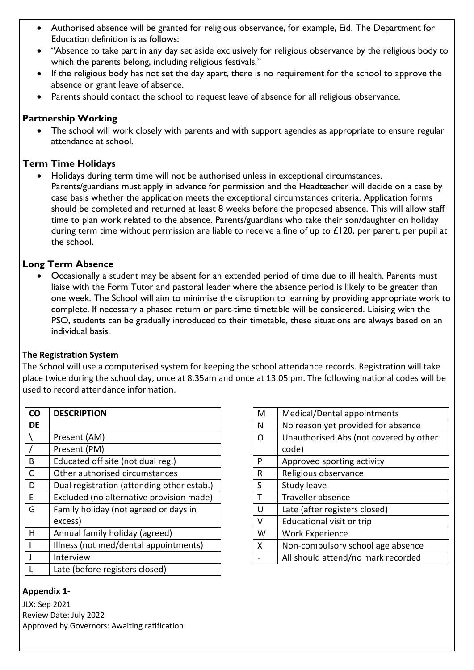- Authorised absence will be granted for religious observance, for example, Eid. The Department for Education definition is as follows:
- "Absence to take part in any day set aside exclusively for religious observance by the religious body to which the parents belong, including religious festivals."
- If the religious body has not set the day apart, there is no requirement for the school to approve the absence or grant leave of absence.
- Parents should contact the school to request leave of absence for all religious observance.

#### **Partnership Working**

 The school will work closely with parents and with support agencies as appropriate to ensure regular attendance at school.

#### **Term Time Holidays**

 Holidays during term time will not be authorised unless in exceptional circumstances. Parents/guardians must apply in advance for permission and the Headteacher will decide on a case by case basis whether the application meets the exceptional circumstances criteria. Application forms should be completed and returned at least 8 weeks before the proposed absence. This will allow staff time to plan work related to the absence. Parents/guardians who take their son/daughter on holiday during term time without permission are liable to receive a fine of up to £120, per parent, per pupil at the school.

#### **Long Term Absence**

 Occasionally a student may be absent for an extended period of time due to ill health. Parents must liaise with the Form Tutor and pastoral leader where the absence period is likely to be greater than one week. The School will aim to minimise the disruption to learning by providing appropriate work to complete. If necessary a phased return or part-time timetable will be considered. Liaising with the PSO, students can be gradually introduced to their timetable, these situations are always based on an individual basis.

#### **The Registration System**

The School will use a computerised system for keeping the school attendance records. Registration will take place twice during the school day, once at 8.35am and once at 13.05 pm. The following national codes will be used to record attendance information.

| CO                                         | <b>DESCRIPTION</b>                         |  |
|--------------------------------------------|--------------------------------------------|--|
| DE                                         |                                            |  |
|                                            | Present (AM)                               |  |
|                                            | Present (PM)                               |  |
| в                                          | Educated off site (not dual reg.)          |  |
| C                                          | Other authorised circumstances             |  |
| D                                          | Dual registration (attending other estab.) |  |
| E                                          | Excluded (no alternative provision made)   |  |
| Family holiday (not agreed or days in<br>G |                                            |  |
|                                            | excess)                                    |  |
| н                                          | Annual family holiday (agreed)             |  |
|                                            | Illness (not med/dental appointments)      |  |
| $\mathbf{I}$                               | Interview                                  |  |
|                                            | Late (before registers closed)             |  |

#### **Appendix 1-**

| M        | Medical/Dental appointments                                             |  |
|----------|-------------------------------------------------------------------------|--|
| N        | No reason yet provided for absence                                      |  |
| $\Omega$ | Unauthorised Abs (not covered by other                                  |  |
|          | code)                                                                   |  |
| P        | Approved sporting activity                                              |  |
| R        | Religious observance                                                    |  |
| S        | Study leave                                                             |  |
| т        | <b>Traveller absence</b>                                                |  |
| U        | Late (after registers closed)                                           |  |
| v        | <b>Educational visit or trip</b>                                        |  |
| W        | <b>Work Experience</b>                                                  |  |
| x        | Non-compulsory school age absence<br>All should attend/no mark recorded |  |
|          |                                                                         |  |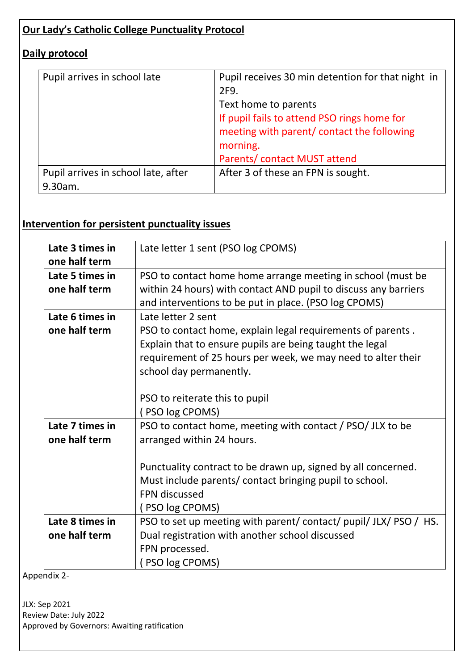#### **Our Lady's Catholic College Punctuality Protocol**

#### **Daily protocol**

| Pupil arrives in school late        | Pupil receives 30 min detention for that night in<br>2F9. |
|-------------------------------------|-----------------------------------------------------------|
|                                     | Text home to parents                                      |
|                                     | If pupil fails to attend PSO rings home for               |
|                                     | meeting with parent/ contact the following                |
|                                     | morning.                                                  |
|                                     | Parents/ contact MUST attend                              |
| Pupil arrives in school late, after | After 3 of these an FPN is sought.                        |
| 9.30am.                             |                                                           |

## **Intervention for persistent punctuality issues**

| Late 3 times in                  | Late letter 1 sent (PSO log CPOMS)                                                                                                                                                                                 |  |  |
|----------------------------------|--------------------------------------------------------------------------------------------------------------------------------------------------------------------------------------------------------------------|--|--|
| one half term                    |                                                                                                                                                                                                                    |  |  |
| Late 5 times in                  | PSO to contact home home arrange meeting in school (must be                                                                                                                                                        |  |  |
| one half term                    | within 24 hours) with contact AND pupil to discuss any barriers<br>and interventions to be put in place. (PSO log CPOMS)                                                                                           |  |  |
| Late 6 times in                  | Late letter 2 sent                                                                                                                                                                                                 |  |  |
| one half term                    | PSO to contact home, explain legal requirements of parents.<br>Explain that to ensure pupils are being taught the legal<br>requirement of 25 hours per week, we may need to alter their<br>school day permanently. |  |  |
|                                  | PSO to reiterate this to pupil<br>(PSO log CPOMS)                                                                                                                                                                  |  |  |
| Late 7 times in<br>one half term | PSO to contact home, meeting with contact / PSO/ JLX to be<br>arranged within 24 hours.                                                                                                                            |  |  |
|                                  | Punctuality contract to be drawn up, signed by all concerned.<br>Must include parents/ contact bringing pupil to school.<br><b>FPN</b> discussed<br>(PSO log CPOMS)                                                |  |  |
| Late 8 times in                  | PSO to set up meeting with parent/contact/pupil/JLX/PSO/HS.                                                                                                                                                        |  |  |
| one half term                    | Dual registration with another school discussed                                                                                                                                                                    |  |  |
|                                  | FPN processed.                                                                                                                                                                                                     |  |  |
|                                  | PSO log CPOMS)                                                                                                                                                                                                     |  |  |

Appendix 2-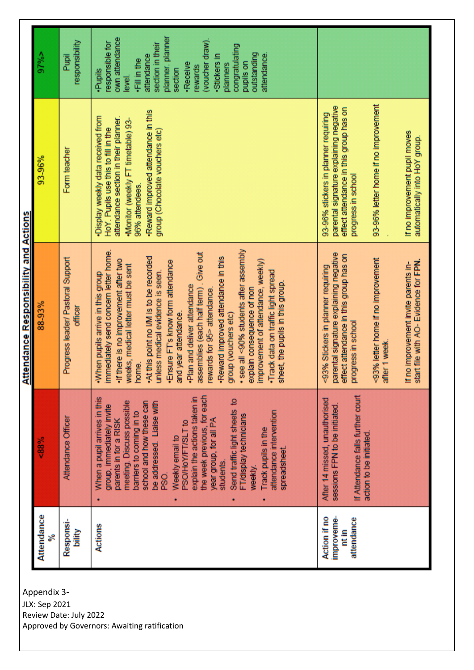|                                              | $97\%$ >        | responsibility<br>Pupil                      | planner, planner<br>own attendance<br>(voucher draw).<br>responsible for<br>section in their<br>congratulating<br>attendance.<br>outstanding<br>attendance<br>·Stickers in<br>-Fill in the<br>pupils on<br>·Receive<br>planners<br>rewards<br>section<br>·Pupils<br>level.                                                                                                                                                                                                                                                                                                                                                                                                |                                                                                                                                                                                                                                                                                      |
|----------------------------------------------|-----------------|----------------------------------------------|---------------------------------------------------------------------------------------------------------------------------------------------------------------------------------------------------------------------------------------------------------------------------------------------------------------------------------------------------------------------------------------------------------------------------------------------------------------------------------------------------------------------------------------------------------------------------------------------------------------------------------------------------------------------------|--------------------------------------------------------------------------------------------------------------------------------------------------------------------------------------------------------------------------------------------------------------------------------------|
|                                              | 93-96%          | Form teacher                                 | Reward improved attendance in this<br>Display weekly data received from<br>attendance section in their planner.<br>-Monitor (weekly FT timetable) 93-<br>HoY. Pupils use this to fill in the<br>group (Chocolate vouchers etc)<br>96% attendees.                                                                                                                                                                                                                                                                                                                                                                                                                          | 93-96% letter home if no improvement<br>parental signature explaining negative<br>effect attendance in this group has on<br>93-96% stickers in planner requiring<br>If no improvement pupil moves<br>automatically into HoY group.<br>progress in school                             |
| <u>Attendance Responsibility and Actions</u> | 88-93%          | Progress leader/ Pastoral Support<br>officer | • see all <90% students after assembly<br>immediately send concern letter home.<br>issemblies (each half term). Give out<br>Reward improved attendance in this<br>At this point no I/M is to be recorded<br>If there is no improvement after two<br>improvement of attendance, weekly)<br>Ensure FT's know form attendance<br>veeks, medical letter must be sent<br>·Track data on traffic light spread<br>inless medical evidence is seen.<br>. When pupils arrive in this group<br>sheet, the pupils in this group<br>Plan and deliver attendance<br>explain consequence of non<br>ewards for 95> attendance.<br>ind year attendance.<br>group (vouchers etc)<br>norme. | parental signature explaining negative<br>effect attendance in this group has on<br><93% letter home if no improvement<br>start file with AO- Evidence for FPN.<br>If no improvement invite parents in-<br><93% Stickers in planner requiring<br>progress in school<br>after 1 week. |
|                                              | <88%            | Attendance Officer                           | the week previous, for each<br>explain the actions taken in<br>When a pupil arrives in this<br>Send traffic light sheets to<br>meeting. Discuss possible<br>school and how these can<br>be addressed. Liaise with<br>group, immediately invite<br>attendance intervention<br>barriers to coming in to<br>FT/display technicians<br>year group, for all PA<br>parents in for a RISK<br>PSO/HoY/FT/SLT to<br>Track pupils in the<br>Weekly email to<br>spreadsheet<br>students<br>weekly.<br>PSO.                                                                                                                                                                           | If Attendance falls further court<br>After 14 missed, unauthorised<br>sessions FPN to be initiated<br>action to be initiated.                                                                                                                                                        |
|                                              | Attendance<br>≍ | Responsi-<br>bility                          | <b>Actions</b>                                                                                                                                                                                                                                                                                                                                                                                                                                                                                                                                                                                                                                                            | Action if no<br>improveme-<br>attendance<br>nt in                                                                                                                                                                                                                                    |

Appendix 3-

JLX: Sep 2021 Review Date: July 2022

Approved by Governors: Awaiting ratification